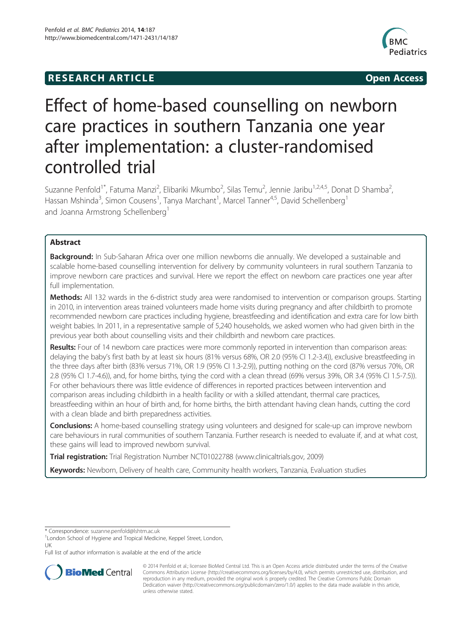# **RESEARCH ARTICLE Example 2014 12:25 Open Access**



# Effect of home-based counselling on newborn care practices in southern Tanzania one year after implementation: a cluster-randomised controlled trial

Suzanne Penfold<sup>1\*</sup>, Fatuma Manzi<sup>2</sup>, Elibariki Mkumbo<sup>2</sup>, Silas Temu<sup>2</sup>, Jennie Jaribu<sup>1,2,4,5</sup>, Donat D Shamba<sup>2</sup> , Hassan Mshinda<sup>3</sup>, Simon Cousens<sup>1</sup>, Tanya Marchant<sup>1</sup>, Marcel Tanner<sup>4,5</sup>, David Schellenberg<sup>1</sup> and Joanna Armstrong Schellenberg<sup>1</sup>

# Abstract

Background: In Sub-Saharan Africa over one million newborns die annually. We developed a sustainable and scalable home-based counselling intervention for delivery by community volunteers in rural southern Tanzania to improve newborn care practices and survival. Here we report the effect on newborn care practices one year after full implementation.

Methods: All 132 wards in the 6-district study area were randomised to intervention or comparison groups. Starting in 2010, in intervention areas trained volunteers made home visits during pregnancy and after childbirth to promote recommended newborn care practices including hygiene, breastfeeding and identification and extra care for low birth weight babies. In 2011, in a representative sample of 5,240 households, we asked women who had given birth in the previous year both about counselling visits and their childbirth and newborn care practices.

Results: Four of 14 newborn care practices were more commonly reported in intervention than comparison areas: delaying the baby's first bath by at least six hours (81% versus 68%, OR 2.0 (95% CI 1.2-3.4)), exclusive breastfeeding in the three days after birth (83% versus 71%, OR 1.9 (95% CI 1.3-2.9)), putting nothing on the cord (87% versus 70%, OR 2.8 (95% CI 1.7-4.6)), and, for home births, tying the cord with a clean thread (69% versus 39%, OR 3.4 (95% CI 1.5-7.5)). For other behaviours there was little evidence of differences in reported practices between intervention and comparison areas including childbirth in a health facility or with a skilled attendant, thermal care practices, breastfeeding within an hour of birth and, for home births, the birth attendant having clean hands, cutting the cord with a clean blade and birth preparedness activities.

**Conclusions:** A home-based counselling strategy using volunteers and designed for scale-up can improve newborn care behaviours in rural communities of southern Tanzania. Further research is needed to evaluate if, and at what cost, these gains will lead to improved newborn survival.

Trial registration: Trial Registration Number [NCT01022788](http://www.clinicaltrials.gov/ct2/results?term=NCT01022788) ([www.clinicaltrials.gov,](http://www.clinicaltrials.gov) 2009)

Keywords: Newborn, Delivery of health care, Community health workers, Tanzania, Evaluation studies

\* Correspondence: [suzanne.penfold@lshtm.ac.uk](mailto:suzanne.penfold@lshtm.ac.uk) <sup>1</sup>

<sup>1</sup> London School of Hygiene and Tropical Medicine, Keppel Street, London, UK

Full list of author information is available at the end of the article



<sup>© 2014</sup> Penfold et al.; licensee BioMed Central Ltd. This is an Open Access article distributed under the terms of the Creative Commons Attribution License [\(http://creativecommons.org/licenses/by/4.0\)](http://creativecommons.org/licenses/by/4.0), which permits unrestricted use, distribution, and reproduction in any medium, provided the original work is properly credited. The Creative Commons Public Domain Dedication waiver [\(http://creativecommons.org/publicdomain/zero/1.0/](http://creativecommons.org/publicdomain/zero/1.0/)) applies to the data made available in this article, unless otherwise stated.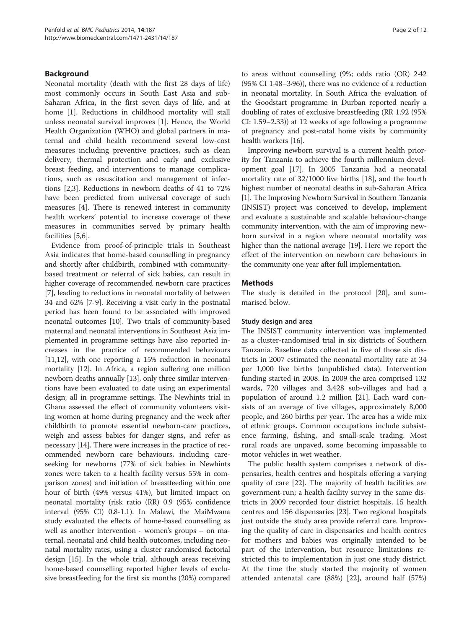# Background

Neonatal mortality (death with the first 28 days of life) most commonly occurs in South East Asia and sub-Saharan Africa, in the first seven days of life, and at home [[1\]](#page-10-0). Reductions in childhood mortality will stall unless neonatal survival improves [[1](#page-10-0)]. Hence, the World Health Organization (WHO) and global partners in maternal and child health recommend several low-cost measures including preventive practices, such as clean delivery, thermal protection and early and exclusive breast feeding, and interventions to manage complications, such as resuscitation and management of infections [[2,3\]](#page-10-0). Reductions in newborn deaths of 41 to 72% have been predicted from universal coverage of such measures [[4](#page-10-0)]. There is renewed interest in community health workers' potential to increase coverage of these measures in communities served by primary health facilities [\[5,6\]](#page-10-0).

Evidence from proof-of-principle trials in Southeast Asia indicates that home-based counselling in pregnancy and shortly after childbirth, combined with communitybased treatment or referral of sick babies, can result in higher coverage of recommended newborn care practices [[7\]](#page-10-0), leading to reductions in neonatal mortality of between 34 and 62% [[7-9\]](#page-10-0). Receiving a visit early in the postnatal period has been found to be associated with improved neonatal outcomes [\[10\]](#page-10-0). Two trials of community-based maternal and neonatal interventions in Southeast Asia implemented in programme settings have also reported increases in the practice of recommended behaviours [[11,12](#page-10-0)], with one reporting a 15% reduction in neonatal mortality [[12](#page-10-0)]. In Africa, a region suffering one million newborn deaths annually [\[13\]](#page-10-0), only three similar interventions have been evaluated to date using an experimental design; all in programme settings. The Newhints trial in Ghana assessed the effect of community volunteers visiting women at home during pregnancy and the week after childbirth to promote essential newborn-care practices, weigh and assess babies for danger signs, and refer as necessary [\[14\]](#page-10-0). There were increases in the practice of recommended newborn care behaviours, including careseeking for newborns (77% of sick babies in Newhints zones were taken to a health facility versus 55% in comparison zones) and initiation of breastfeeding within one hour of birth (49% versus 41%), but limited impact on neonatal mortality (risk ratio (RR) 0.9 (95% confidence interval (95% CI) 0.8-1.1). In Malawi, the MaiMwana study evaluated the effects of home-based counselling as well as another intervention - women's groups – on maternal, neonatal and child health outcomes, including neonatal mortality rates, using a cluster randomised factorial design [[15](#page-10-0)]. In the whole trial, although areas receiving home-based counselling reported higher levels of exclusive breastfeeding for the first six months (20%) compared

to areas without counselling (9%; odds ratio (OR) 2·42 (95% CI 1·48–3·96)), there was no evidence of a reduction in neonatal mortality. In South Africa the evaluation of the Goodstart programme in Durban reported nearly a doubling of rates of exclusive breastfeeding (RR 1.92 (95% CI: 1.59–2.33)) at 12 weeks of age following a programme of pregnancy and post-natal home visits by community health workers [[16](#page-10-0)].

Improving newborn survival is a current health priority for Tanzania to achieve the fourth millennium development goal [\[17](#page-11-0)]. In 2005 Tanzania had a neonatal mortality rate of 32/1000 live births [[18\]](#page-11-0), and the fourth highest number of neonatal deaths in sub-Saharan Africa [[1](#page-10-0)]. The Improving Newborn Survival in Southern Tanzania (INSIST) project was conceived to develop, implement and evaluate a sustainable and scalable behaviour-change community intervention, with the aim of improving newborn survival in a region where neonatal mortality was higher than the national average [\[19](#page-11-0)]. Here we report the effect of the intervention on newborn care behaviours in the community one year after full implementation.

# Methods

The study is detailed in the protocol [[20\]](#page-11-0), and summarised below.

#### Study design and area

The INSIST community intervention was implemented as a cluster-randomised trial in six districts of Southern Tanzania. Baseline data collected in five of those six districts in 2007 estimated the neonatal mortality rate at 34 per 1,000 live births (unpublished data). Intervention funding started in 2008. In 2009 the area comprised 132 wards, 720 villages and 3,428 sub-villages and had a population of around 1.2 million [[21\]](#page-11-0). Each ward consists of an average of five villages, approximately 8,000 people, and 260 births per year. The area has a wide mix of ethnic groups. Common occupations include subsistence farming, fishing, and small-scale trading. Most rural roads are unpaved, some becoming impassable to motor vehicles in wet weather.

The public health system comprises a network of dispensaries, health centres and hospitals offering a varying quality of care [[22](#page-11-0)]. The majority of health facilities are government-run; a health facility survey in the same districts in 2009 recorded four district hospitals, 15 health centres and 156 dispensaries [[23](#page-11-0)]. Two regional hospitals just outside the study area provide referral care. Improving the quality of care in dispensaries and health centres for mothers and babies was originally intended to be part of the intervention, but resource limitations restricted this to implementation in just one study district. At the time the study started the majority of women attended antenatal care (88%) [[22\]](#page-11-0), around half (57%)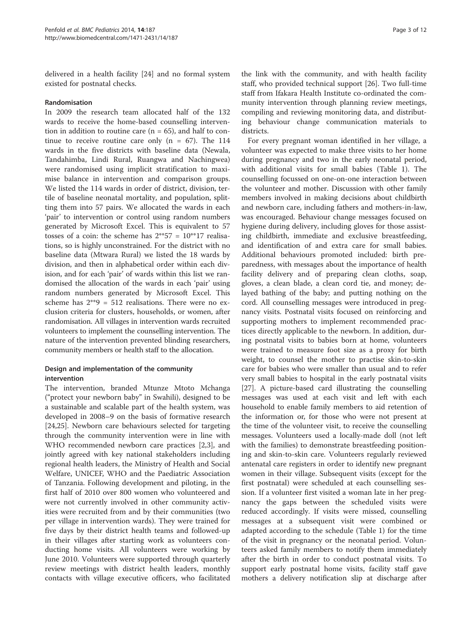delivered in a health facility [\[24](#page-11-0)] and no formal system existed for postnatal checks.

## Randomisation

In 2009 the research team allocated half of the 132 wards to receive the home-based counselling intervention in addition to routine care  $(n = 65)$ , and half to continue to receive routine care only  $(n = 67)$ . The 114 wards in the five districts with baseline data (Newala, Tandahimba, Lindi Rural, Ruangwa and Nachingwea) were randomised using implicit stratification to maximise balance in intervention and comparison groups. We listed the 114 wards in order of district, division, tertile of baseline neonatal mortality, and population, splitting them into 57 pairs. We allocated the wards in each 'pair' to intervention or control using random numbers generated by Microsoft Excel. This is equivalent to 57 tosses of a coin: the scheme has  $2^{**}57 = 10^{**}17$  realisations, so is highly unconstrained. For the district with no baseline data (Mtwara Rural) we listed the 18 wards by division, and then in alphabetical order within each division, and for each 'pair' of wards within this list we randomised the allocation of the wards in each 'pair' using random numbers generated by Microsoft Excel. This scheme has  $2^{**}9 = 512$  realisations. There were no exclusion criteria for clusters, households, or women, after randomisation. All villages in intervention wards recruited volunteers to implement the counselling intervention. The nature of the intervention prevented blinding researchers, community members or health staff to the allocation.

# Design and implementation of the community intervention

The intervention, branded Mtunze Mtoto Mchanga ("protect your newborn baby" in Swahili), designed to be a sustainable and scalable part of the health system, was developed in 2008–9 on the basis of formative research [[24,25\]](#page-11-0). Newborn care behaviours selected for targeting through the community intervention were in line with WHO recommended newborn care practices [[2,3\]](#page-10-0), and jointly agreed with key national stakeholders including regional health leaders, the Ministry of Health and Social Welfare, UNICEF, WHO and the Paediatric Association of Tanzania. Following development and piloting, in the first half of 2010 over 800 women who volunteered and were not currently involved in other community activities were recruited from and by their communities (two per village in intervention wards). They were trained for five days by their district health teams and followed-up in their villages after starting work as volunteers conducting home visits. All volunteers were working by June 2010. Volunteers were supported through quarterly review meetings with district health leaders, monthly contacts with village executive officers, who facilitated

the link with the community, and with health facility staff, who provided technical support [[26](#page-11-0)]. Two full-time staff from Ifakara Health Institute co-ordinated the community intervention through planning review meetings, compiling and reviewing monitoring data, and distributing behaviour change communication materials to districts.

For every pregnant woman identified in her village, a volunteer was expected to make three visits to her home during pregnancy and two in the early neonatal period, with additional visits for small babies (Table [1\)](#page-3-0). The counselling focussed on one-on-one interaction between the volunteer and mother. Discussion with other family members involved in making decisions about childbirth and newborn care, including fathers and mothers-in-law, was encouraged. Behaviour change messages focused on hygiene during delivery, including gloves for those assisting childbirth, immediate and exclusive breastfeeding, and identification of and extra care for small babies. Additional behaviours promoted included: birth preparedness, with messages about the importance of health facility delivery and of preparing clean cloths, soap, gloves, a clean blade, a clean cord tie, and money; delayed bathing of the baby; and putting nothing on the cord. All counselling messages were introduced in pregnancy visits. Postnatal visits focused on reinforcing and supporting mothers to implement recommended practices directly applicable to the newborn. In addition, during postnatal visits to babies born at home, volunteers were trained to measure foot size as a proxy for birth weight, to counsel the mother to practise skin-to-skin care for babies who were smaller than usual and to refer very small babies to hospital in the early postnatal visits [[27\]](#page-11-0). A picture-based card illustrating the counselling messages was used at each visit and left with each household to enable family members to aid retention of the information or, for those who were not present at the time of the volunteer visit, to receive the counselling messages. Volunteers used a locally-made doll (not left with the families) to demonstrate breastfeeding positioning and skin-to-skin care. Volunteers regularly reviewed antenatal care registers in order to identify new pregnant women in their village. Subsequent visits (except for the first postnatal) were scheduled at each counselling session. If a volunteer first visited a woman late in her pregnancy the gaps between the scheduled visits were reduced accordingly. If visits were missed, counselling messages at a subsequent visit were combined or adapted according to the schedule (Table [1\)](#page-3-0) for the time of the visit in pregnancy or the neonatal period. Volunteers asked family members to notify them immediately after the birth in order to conduct postnatal visits. To support early postnatal home visits, facility staff gave mothers a delivery notification slip at discharge after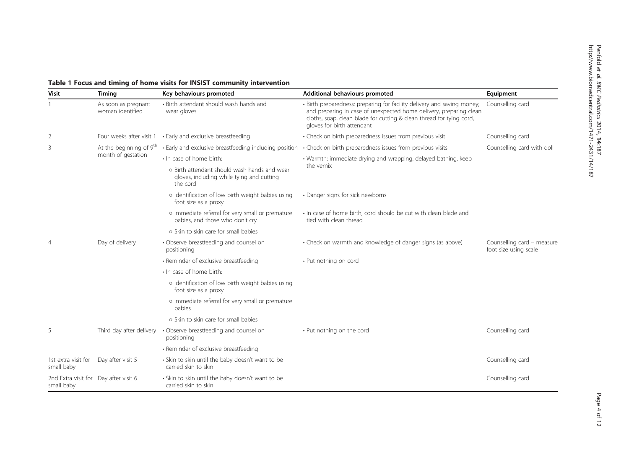<span id="page-3-0"></span>

|  |  |  |  |  |  |  | Table 1 Focus and timing of home visits for INSIST community intervention |
|--|--|--|--|--|--|--|---------------------------------------------------------------------------|
|--|--|--|--|--|--|--|---------------------------------------------------------------------------|

| <b>Visit</b>                                        | Timing                                  | Key behaviours promoted                                                                               | Additional behaviours promoted                                                                                                                                                                                                                      | Equipment                                           |  |
|-----------------------------------------------------|-----------------------------------------|-------------------------------------------------------------------------------------------------------|-----------------------------------------------------------------------------------------------------------------------------------------------------------------------------------------------------------------------------------------------------|-----------------------------------------------------|--|
|                                                     | As soon as pregnant<br>woman identified | • Birth attendant should wash hands and<br>wear gloves                                                | · Birth preparedness: preparing for facility delivery and saving money;<br>and preparing in case of unexpected home delivery, preparing clean<br>cloths, soap, clean blade for cutting & clean thread for tying cord,<br>gloves for birth attendant | Counselling card                                    |  |
| $\overline{2}$                                      | Four weeks after visit 1                | • Early and exclusive breastfeeding                                                                   | • Check on birth preparedness issues from previous visit                                                                                                                                                                                            | Counselling card                                    |  |
| 3                                                   | At the beginning of 9 <sup>th</sup>     | • Early and exclusive breastfeeding including position                                                | • Check on birth preparedness issues from previous visits                                                                                                                                                                                           | Counselling card with doll                          |  |
|                                                     | month of gestation                      | . In case of home birth:                                                                              | • Warmth: immediate drying and wrapping, delayed bathing, keep                                                                                                                                                                                      |                                                     |  |
|                                                     |                                         | o Birth attendant should wash hands and wear<br>gloves, including while tying and cutting<br>the cord | the vernix                                                                                                                                                                                                                                          |                                                     |  |
|                                                     |                                         | o Identification of low birth weight babies using<br>foot size as a proxy                             | • Danger signs for sick newborns                                                                                                                                                                                                                    |                                                     |  |
|                                                     |                                         | o Immediate referral for very small or premature<br>babies, and those who don't cry                   | • In case of home birth, cord should be cut with clean blade and<br>tied with clean thread                                                                                                                                                          |                                                     |  |
|                                                     |                                         | o Skin to skin care for small babies                                                                  |                                                                                                                                                                                                                                                     |                                                     |  |
| $\overline{4}$                                      | Day of delivery                         | • Observe breastfeeding and counsel on<br>positioning                                                 | • Check on warmth and knowledge of danger signs (as above)                                                                                                                                                                                          | Counselling card - measure<br>foot size using scale |  |
|                                                     |                                         | • Reminder of exclusive breastfeeding                                                                 | • Put nothing on cord                                                                                                                                                                                                                               |                                                     |  |
|                                                     |                                         | . In case of home birth:                                                                              |                                                                                                                                                                                                                                                     |                                                     |  |
|                                                     |                                         | o Identification of low birth weight babies using<br>foot size as a proxy                             |                                                                                                                                                                                                                                                     |                                                     |  |
|                                                     |                                         | o Immediate referral for very small or premature<br>babies                                            |                                                                                                                                                                                                                                                     |                                                     |  |
|                                                     |                                         | o Skin to skin care for small babies                                                                  |                                                                                                                                                                                                                                                     |                                                     |  |
| 5                                                   | Third day after delivery                | • Observe breastfeeding and counsel on<br>positioning                                                 | • Put nothing on the cord                                                                                                                                                                                                                           | Counselling card                                    |  |
|                                                     |                                         | • Reminder of exclusive breastfeeding                                                                 |                                                                                                                                                                                                                                                     |                                                     |  |
| 1st extra visit for<br>small baby                   | Day after visit 5                       | · Skin to skin until the baby doesn't want to be<br>carried skin to skin                              |                                                                                                                                                                                                                                                     | Counselling card                                    |  |
| 2nd Extra visit for Day after visit 6<br>small baby |                                         | · Skin to skin until the baby doesn't want to be<br>carried skin to skin                              |                                                                                                                                                                                                                                                     | Counselling card                                    |  |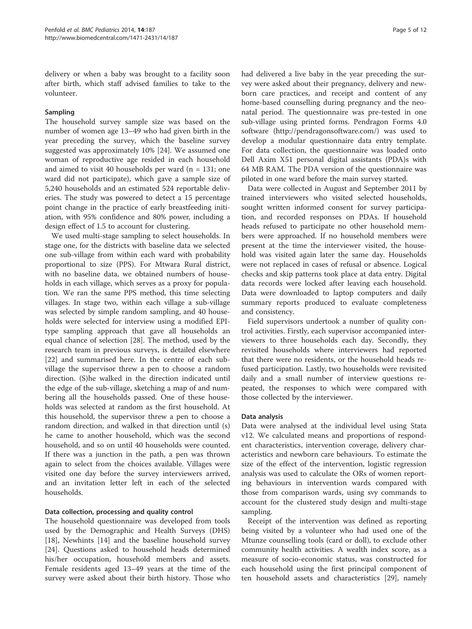delivery or when a baby was brought to a facility soon after birth, which staff advised families to take to the volunteer.

# Sampling

The household survey sample size was based on the number of women age 13–49 who had given birth in the year preceding the survey, which the baseline survey suggested was approximately 10% [[24](#page-11-0)]. We assumed one woman of reproductive age resided in each household and aimed to visit 40 households per ward ( $n = 131$ ; one ward did not participate), which gave a sample size of 5,240 households and an estimated 524 reportable deliveries. The study was powered to detect a 15 percentage point change in the practice of early breastfeeding initiation, with 95% confidence and 80% power, including a design effect of 1.5 to account for clustering.

We used multi-stage sampling to select households. In stage one, for the districts with baseline data we selected one sub-village from within each ward with probability proportional to size (PPS). For Mtwara Rural district, with no baseline data, we obtained numbers of households in each village, which serves as a proxy for population. We ran the same PPS method, this time selecting villages. In stage two, within each village a sub-village was selected by simple random sampling, and 40 households were selected for interview using a modified EPItype sampling approach that gave all households an equal chance of selection [[28](#page-11-0)]. The method, used by the research team in previous surveys, is detailed elsewhere [[22\]](#page-11-0) and summarised here. In the centre of each subvillage the supervisor threw a pen to choose a random direction. (S)he walked in the direction indicated until the edge of the sub-village, sketching a map of and numbering all the households passed. One of these households was selected at random as the first household. At this household, the supervisor threw a pen to choose a random direction, and walked in that direction until (s) he came to another household, which was the second household, and so on until 40 households were counted. If there was a junction in the path, a pen was thrown again to select from the choices available. Villages were visited one day before the survey interviewers arrived, and an invitation letter left in each of the selected households.

# Data collection, processing and quality control

The household questionnaire was developed from tools used by the Demographic and Health Surveys (DHS) [[18\]](#page-11-0), Newhints [\[14\]](#page-10-0) and the baseline household survey [[24\]](#page-11-0). Questions asked to household heads determined his/her occupation, household members and assets. Female residents aged 13–49 years at the time of the survey were asked about their birth history. Those who had delivered a live baby in the year preceding the survey were asked about their pregnancy, delivery and newborn care practices, and receipt and content of any home-based counselling during pregnancy and the neonatal period. The questionnaire was pre-tested in one sub-village using printed forms. Pendragon Forms 4.0 software [\(http://pendragonsoftware.com/](http://pendragonsoftware.com/)) was used to develop a modular questionnaire data entry template. For data collection, the questionnaire was loaded onto Dell Axim X51 personal digital assistants (PDA)s with 64 MB RAM. The PDA version of the questionnaire was piloted in one ward before the main survey started.

Data were collected in August and September 2011 by trained interviewers who visited selected households, sought written informed consent for survey participation, and recorded responses on PDAs. If household heads refused to participate no other household members were approached. If no household members were present at the time the interviewer visited, the household was visited again later the same day. Households were not replaced in cases of refusal or absence. Logical checks and skip patterns took place at data entry. Digital data records were locked after leaving each household. Data were downloaded to laptop computers and daily summary reports produced to evaluate completeness and consistency.

Field supervisors undertook a number of quality control activities. Firstly, each supervisor accompanied interviewers to three households each day. Secondly, they revisited households where interviewers had reported that there were no residents, or the household heads refused participation. Lastly, two households were revisited daily and a small number of interview questions repeated, the responses to which were compared with those collected by the interviewer.

#### Data analysis

Data were analysed at the individual level using Stata v12. We calculated means and proportions of respondent characteristics, intervention coverage, delivery characteristics and newborn care behaviours. To estimate the size of the effect of the intervention, logistic regression analysis was used to calculate the ORs of women reporting behaviours in intervention wards compared with those from comparison wards, using svy commands to account for the clustered study design and multi-stage sampling.

Receipt of the intervention was defined as reporting being visited by a volunteer who had used one of the Mtunze counselling tools (card or doll), to exclude other community health activities. A wealth index score, as a measure of socio-economic status, was constructed for each household using the first principal component of ten household assets and characteristics [\[29](#page-11-0)], namely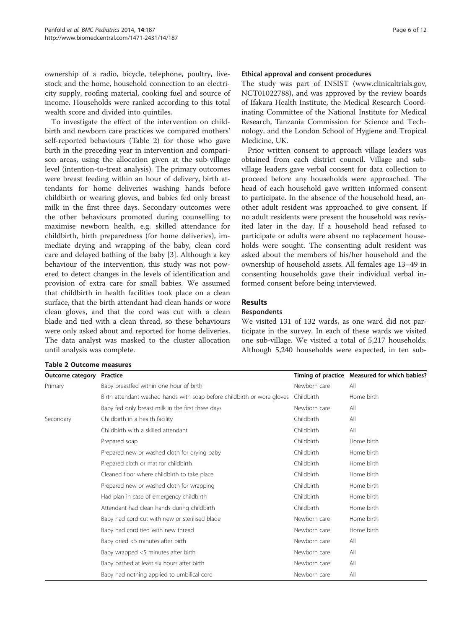ownership of a radio, bicycle, telephone, poultry, livestock and the home, household connection to an electricity supply, roofing material, cooking fuel and source of income. Households were ranked according to this total wealth score and divided into quintiles.

To investigate the effect of the intervention on childbirth and newborn care practices we compared mothers' self-reported behaviours (Table 2) for those who gave birth in the preceding year in intervention and comparison areas, using the allocation given at the sub-village level (intention-to-treat analysis). The primary outcomes were breast feeding within an hour of delivery, birth attendants for home deliveries washing hands before childbirth or wearing gloves, and babies fed only breast milk in the first three days. Secondary outcomes were the other behaviours promoted during counselling to maximise newborn health, e.g. skilled attendance for childbirth, birth preparedness (for home deliveries), immediate drying and wrapping of the baby, clean cord care and delayed bathing of the baby [[3](#page-10-0)]. Although a key behaviour of the intervention, this study was not powered to detect changes in the levels of identification and provision of extra care for small babies. We assumed that childbirth in health facilities took place on a clean surface, that the birth attendant had clean hands or wore clean gloves, and that the cord was cut with a clean blade and tied with a clean thread, so these behaviours were only asked about and reported for home deliveries. The data analyst was masked to the cluster allocation until analysis was complete.

Ethical approval and consent procedures The study was part of INSIST ([www.clinicaltrials.gov,](http://www.clinicaltrials.gov) NCT01022788), and was approved by the review boards of Ifakara Health Institute, the Medical Research Coordinating Committee of the National Institute for Medical Research, Tanzania Commission for Science and Technology, and the London School of Hygiene and Tropical Medicine, UK.

Prior written consent to approach village leaders was obtained from each district council. Village and subvillage leaders gave verbal consent for data collection to proceed before any households were approached. The head of each household gave written informed consent to participate. In the absence of the household head, another adult resident was approached to give consent. If no adult residents were present the household was revisited later in the day. If a household head refused to participate or adults were absent no replacement households were sought. The consenting adult resident was asked about the members of his/her household and the ownership of household assets. All females age 13–49 in consenting households gave their individual verbal informed consent before being interviewed.

# Results

# Respondents

We visited 131 of 132 wards, as one ward did not participate in the survey. In each of these wards we visited one sub-village. We visited a total of 5,217 households. Although 5,240 households were expected, in ten sub-

| <b>Outcome category</b> | Practice                                                                |              | Timing of practice Measured for which babies? |
|-------------------------|-------------------------------------------------------------------------|--------------|-----------------------------------------------|
| Primary                 | Baby breastfed within one hour of birth                                 | Newborn care | All                                           |
|                         | Birth attendant washed hands with soap before childbirth or wore gloves | Childbirth   | Home birth                                    |
|                         | Baby fed only breast milk in the first three days                       | Newborn care | All                                           |
| Secondary               | Childbirth in a health facility                                         | Childbirth   | All                                           |
|                         | Childbirth with a skilled attendant                                     | Childbirth   | All                                           |
|                         | Prepared soap                                                           | Childbirth   | Home birth                                    |
|                         | Prepared new or washed cloth for drying baby                            | Childbirth   | Home birth                                    |
|                         | Prepared cloth or mat for childbirth                                    | Childbirth   | Home birth                                    |
|                         | Cleaned floor where childbirth to take place                            | Childbirth   | Home birth                                    |
|                         | Prepared new or washed cloth for wrapping                               | Childbirth   | Home birth                                    |
|                         | Had plan in case of emergency childbirth                                | Childbirth   | Home birth                                    |
|                         | Attendant had clean hands during childbirth                             | Childbirth   | Home birth                                    |
|                         | Baby had cord cut with new or sterilised blade                          | Newborn care | Home birth                                    |
|                         | Baby had cord tied with new thread                                      | Newborn care | Home birth                                    |
|                         | Baby dried <5 minutes after birth                                       | Newborn care | All                                           |
|                         | Baby wrapped <5 minutes after birth                                     | Newborn care | All                                           |
|                         | Baby bathed at least six hours after birth                              | Newborn care | All                                           |
|                         | Baby had nothing applied to umbilical cord                              | Newborn care | All                                           |

#### Table 2 Outcome measures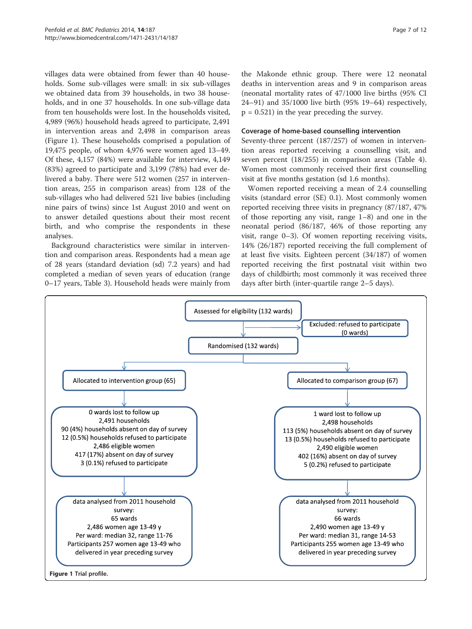villages data were obtained from fewer than 40 households. Some sub-villages were small: in six sub-villages we obtained data from 39 households, in two 38 households, and in one 37 households. In one sub-village data from ten households were lost. In the households visited, 4,989 (96%) household heads agreed to participate, 2,491 in intervention areas and 2,498 in comparison areas (Figure 1). These households comprised a population of 19,475 people, of whom 4,976 were women aged 13–49. Of these, 4,157 (84%) were available for interview, 4,149 (83%) agreed to participate and 3,199 (78%) had ever delivered a baby. There were 512 women (257 in intervention areas, 255 in comparison areas) from 128 of the sub-villages who had delivered 521 live babies (including nine pairs of twins) since 1st August 2010 and went on to answer detailed questions about their most recent birth, and who comprise the respondents in these analyses.

Background characteristics were similar in intervention and comparison areas. Respondents had a mean age of 28 years (standard deviation (sd) 7.2 years) and had completed a median of seven years of education (range 0–17 years, Table [3\)](#page-7-0). Household heads were mainly from

the Makonde ethnic group. There were 12 neonatal deaths in intervention areas and 9 in comparison areas (neonatal mortality rates of 47/1000 live births (95% CI 24–91) and 35/1000 live birth (95% 19–64) respectively,  $p = 0.521$ ) in the year preceding the survey.

#### Coverage of home-based counselling intervention

Seventy-three percent (187/257) of women in intervention areas reported receiving a counselling visit, and seven percent (18/255) in comparison areas (Table [4](#page-7-0)). Women most commonly received their first counselling visit at five months gestation (sd 1.6 months).

Women reported receiving a mean of 2.4 counselling visits (standard error (SE) 0.1). Most commonly women reported receiving three visits in pregnancy (87/187, 47% of those reporting any visit, range 1–8) and one in the neonatal period (86/187, 46% of those reporting any visit, range 0–3). Of women reporting receiving visits, 14% (26/187) reported receiving the full complement of at least five visits. Eighteen percent (34/187) of women reported receiving the first postnatal visit within two days of childbirth; most commonly it was received three days after birth (inter-quartile range 2–5 days).

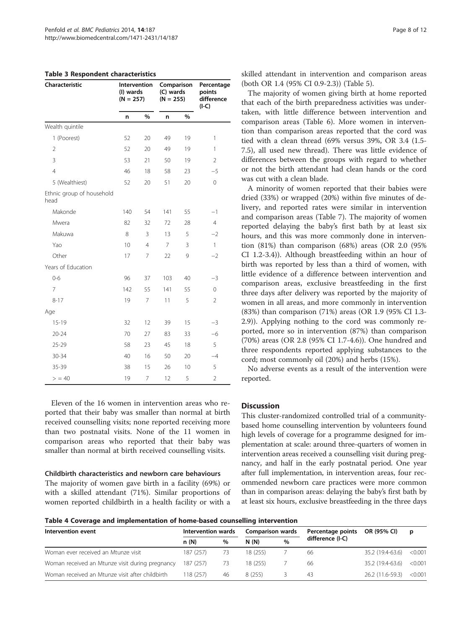<span id="page-7-0"></span>Table 3 Respondent characteristics

| Characteristic                    | Intervention<br>(I) wards<br>$(N = 257)$ |                | Comparison<br>(C) wards<br>$(N = 255)$ |               | Percentage<br>points<br>difference<br>$(I-C)$ |  |
|-----------------------------------|------------------------------------------|----------------|----------------------------------------|---------------|-----------------------------------------------|--|
|                                   | n                                        | $\frac{0}{0}$  | n                                      | $\frac{0}{0}$ |                                               |  |
| Wealth quintile                   |                                          |                |                                        |               |                                               |  |
| 1 (Poorest)                       | 52                                       | 20             | 49                                     | 19            | 1                                             |  |
| $\overline{2}$                    | 52                                       | 20             | 49                                     | 19            | 1                                             |  |
| 3                                 | 53                                       | 21             | 50                                     | 19            | $\overline{2}$                                |  |
| $\overline{4}$                    | 46                                       | 18             | 58                                     | 23            | $-5$                                          |  |
| 5 (Wealthiest)                    | 52                                       | 20             | 51                                     | 20            | $\mathbf 0$                                   |  |
| Ethnic group of household<br>head |                                          |                |                                        |               |                                               |  |
| Makonde                           | 140                                      | 54             | 141                                    | 55            | $-1$                                          |  |
| Mwera                             | 82                                       | 32             | 72                                     | 28            | $\overline{4}$                                |  |
| Makuwa                            | 8                                        | 3              | 13                                     | 5             | $-2$                                          |  |
| Yao                               | 10                                       | $\overline{4}$ | $\overline{7}$                         | 3             | $\mathbf{1}$                                  |  |
| Other                             | 17                                       | 7              | 22                                     | 9             | $-2$                                          |  |
| Years of Education                |                                          |                |                                        |               |                                               |  |
| $0 - 6$                           | 96                                       | 37             | 103                                    | 40            | $-3$                                          |  |
| 7                                 | 142                                      | 55             | 141                                    | 55            | $\overline{0}$                                |  |
| $8 - 17$                          | 19                                       | 7              | 11                                     | 5             | $\overline{2}$                                |  |
| Age                               |                                          |                |                                        |               |                                               |  |
| $15 - 19$                         | 32                                       | 12             | 39                                     | 15            | $-3$                                          |  |
| $20 - 24$                         | 70                                       | 27             | 83                                     | 33            | $-6$                                          |  |
| $25 - 29$                         | 58                                       | 23             | 45                                     | 18            | 5                                             |  |
| $30 - 34$                         | 40                                       | 16             | 50                                     | 20            | $-4$                                          |  |
| 35-39                             | 38                                       | 15             | 26                                     | 10            | 5                                             |  |
| > 40                              | 19                                       | 7              | 12                                     | 5             | $\overline{2}$                                |  |

Eleven of the 16 women in intervention areas who reported that their baby was smaller than normal at birth received counselling visits; none reported receiving more than two postnatal visits. None of the 11 women in comparison areas who reported that their baby was smaller than normal at birth received counselling visits.

# Childbirth characteristics and newborn care behaviours

The majority of women gave birth in a facility (69%) or with a skilled attendant (71%). Similar proportions of women reported childbirth in a health facility or with a skilled attendant in intervention and comparison areas (both OR 1.4 (95% CI 0.9-2.3)) (Table [5\)](#page-8-0).

The majority of women giving birth at home reported that each of the birth preparedness activities was undertaken, with little difference between intervention and comparison areas (Table [6](#page-8-0)). More women in intervention than comparison areas reported that the cord was tied with a clean thread (69% versus 39%, OR 3.4 (1.5- 7.5), all used new thread). There was little evidence of differences between the groups with regard to whether or not the birth attendant had clean hands or the cord was cut with a clean blade.

A minority of women reported that their babies were dried (33%) or wrapped (20%) within five minutes of delivery, and reported rates were similar in intervention and comparison areas (Table [7\)](#page-9-0). The majority of women reported delaying the baby's first bath by at least six hours, and this was more commonly done in intervention (81%) than comparison (68%) areas (OR 2.0 (95% CI 1.2-3.4)). Although breastfeeding within an hour of birth was reported by less than a third of women, with little evidence of a difference between intervention and comparison areas, exclusive breastfeeding in the first three days after delivery was reported by the majority of women in all areas, and more commonly in intervention (83%) than comparison (71%) areas (OR 1.9 (95% CI 1.3- 2.9)). Applying nothing to the cord was commonly reported, more so in intervention (87%) than comparison (70%) areas (OR 2.8 (95% CI 1.7-4.6)). One hundred and three respondents reported applying substances to the cord; most commonly oil (20%) and herbs (15%).

No adverse events as a result of the intervention were reported.

# Discussion

This cluster-randomized controlled trial of a communitybased home counselling intervention by volunteers found high levels of coverage for a programme designed for implementation at scale: around three-quarters of women in intervention areas received a counselling visit during pregnancy, and half in the early postnatal period. One year after full implementation, in intervention areas, four recommended newborn care practices were more common than in comparison areas: delaying the baby's first bath by at least six hours, exclusive breastfeeding in the three days

Table 4 Coverage and implementation of home-based counselling intervention

| Intervention event                              | Intervention wards |      | <b>Comparison wards</b> |      | Percentage points | OR (95% CI)      | p       |
|-------------------------------------------------|--------------------|------|-------------------------|------|-------------------|------------------|---------|
|                                                 | n(N)               | $\%$ | N(N)                    | $\%$ | difference (I-C)  |                  |         |
| Woman ever received an Mtunze visit             | 187 (257)          | 73   | 18(255)                 |      | 66                | 35.2 (19.4-63.6) | < 0.001 |
| Woman received an Mtunze visit during pregnancy | 187 (257)          | 73   | 18 (255)                |      | 66                | 35.2 (19.4-63.6) | < 0.001 |
| Woman received an Mtunze visit after childbirth | 118 (257)          | 46   | 8(255)                  |      | 43                | 26.2 (11.6-59.3) | < 0.001 |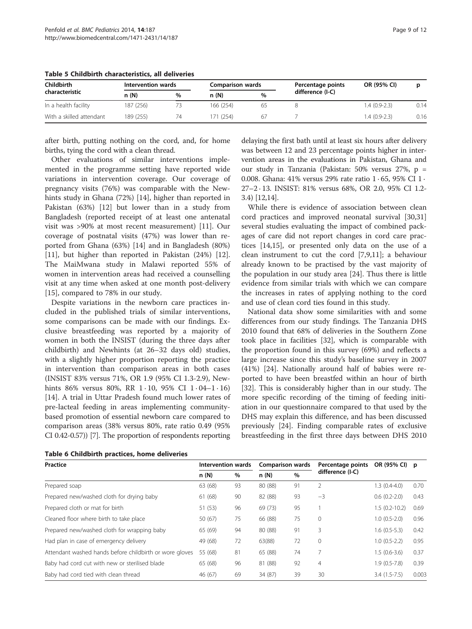| <b>Childbirth</b>        | Intervention wards |      | <b>Comparison wards</b> |               | Percentage points | OR (95% CI)    |      |
|--------------------------|--------------------|------|-------------------------|---------------|-------------------|----------------|------|
| characteristic           | n(N)               | $\%$ | n(N)                    | $\frac{0}{0}$ | difference (I-C)  |                |      |
| In a health facility     | 187 (256)          |      | 166 (254)               |               |                   | $1.4(0.9-2.3)$ | 0.14 |
| With a skilled attendant | 189 (255)          | 74   | 171 (254)               |               |                   | $1.4(0.9-2.3)$ | 0.16 |

<span id="page-8-0"></span>Table 5 Childbirth characteristics, all deliveries

after birth, putting nothing on the cord, and, for home births, tying the cord with a clean thread.

Other evaluations of similar interventions implemented in the programme setting have reported wide variations in intervention coverage. Our coverage of pregnancy visits (76%) was comparable with the Newhints study in Ghana (72%) [[14](#page-10-0)], higher than reported in Pakistan (63%) [[12](#page-10-0)] but lower than in a study from Bangladesh (reported receipt of at least one antenatal visit was >90% at most recent measurement) [[11](#page-10-0)]. Our coverage of postnatal visits (47%) was lower than reported from Ghana (63%) [[14\]](#page-10-0) and in Bangladesh (80%) [[11\]](#page-10-0), but higher than reported in Pakistan (24%) [\[12](#page-10-0)]. The MaiMwana study in Malawi reported 55% of women in intervention areas had received a counselling visit at any time when asked at one month post-delivery [[15\]](#page-10-0), compared to 78% in our study.

Despite variations in the newborn care practices included in the published trials of similar interventions, some comparisons can be made with our findings. Exclusive breastfeeding was reported by a majority of women in both the INSIST (during the three days after childbirth) and Newhints (at 26–32 days old) studies, with a slightly higher proportion reporting the practice in intervention than comparison areas in both cases (INSIST 83% versus 71%, OR 1.9 (95% CI 1.3-2.9), Newhints 86% versus 80%, RR 1 · 10, 95% CI 1 · 04–1 · 16) [[14\]](#page-10-0). A trial in Uttar Pradesh found much lower rates of pre-lacteal feeding in areas implementing communitybased promotion of essential newborn care compared to comparison areas (38% versus 80%, rate ratio 0.49 (95% CI 0.42-0.57)) [[7](#page-10-0)]. The proportion of respondents reporting

| delaying the first bath until at least six hours after delivery |  |  |  |  |  |  |
|-----------------------------------------------------------------|--|--|--|--|--|--|
| was between 12 and 23 percentage points higher in inter-        |  |  |  |  |  |  |
| vention areas in the evaluations in Pakistan, Ghana and         |  |  |  |  |  |  |
| our study in Tanzania (Pakistan: 50% versus 27%, p =            |  |  |  |  |  |  |
| 0.008. Ghana: 41% versus 29% rate ratio $1.65$ , 95% CI $1.6$   |  |  |  |  |  |  |
| 27–2 · 13. INSIST: 81% versus 68%, OR 2.0, 95% CI 1.2-          |  |  |  |  |  |  |
| $3.4)$ [12,14].                                                 |  |  |  |  |  |  |

While there is evidence of association between clean cord practices and improved neonatal survival [[30](#page-11-0),[31](#page-11-0)] several studies evaluating the impact of combined packages of care did not report changes in cord care practices [\[14,15](#page-10-0)], or presented only data on the use of a clean instrument to cut the cord [\[7,9,11](#page-10-0)]; a behaviour already known to be practised by the vast majority of the population in our study area [\[24](#page-11-0)]. Thus there is little evidence from similar trials with which we can compare the increases in rates of applying nothing to the cord and use of clean cord ties found in this study.

National data show some similarities with and some differences from our study findings. The Tanzania DHS 2010 found that 68% of deliveries in the Southern Zone took place in facilities [[32\]](#page-11-0), which is comparable with the proportion found in this survey (69%) and reflects a large increase since this study's baseline survey in 2007 (41%) [\[24\]](#page-11-0). Nationally around half of babies were reported to have been breastfed within an hour of birth [[32\]](#page-11-0). This is considerably higher than in our study. The more specific recording of the timing of feeding initiation in our questionnaire compared to that used by the DHS may explain this difference, and has been discussed previously [[24\]](#page-11-0). Finding comparable rates of exclusive breastfeeding in the first three days between DHS 2010

| Practice                                                | Intervention wards |      | <b>Comparison wards</b> |      | Percentage points | OR (95% CI) p     |       |
|---------------------------------------------------------|--------------------|------|-------------------------|------|-------------------|-------------------|-------|
|                                                         | n(N)               | $\%$ | n(N)                    | $\%$ | difference (I-C)  |                   |       |
| Prepared soap                                           | 63 (68)            | 93   | 80 (88)                 | 91   | 2                 | $1.3(0.4-4.0)$    | 0.70  |
| Prepared new/washed cloth for drying baby               | 61 (68)            | 90   | 82 (88)                 | 93   | $-3$              | $0.6(0.2-2.0)$    | 0.43  |
| Prepared cloth or mat for birth                         | 51 (53)            | 96   | 69 (73)                 | 95   |                   | $1.5(0.2 - 10.2)$ | 0.69  |
| Cleaned floor where birth to take place                 | 50 (67)            | 75   | 66 (88)                 | 75   | $\mathbf{0}$      | $1.0(0.5-2.0)$    | 0.96  |
| Prepared new/washed cloth for wrapping baby             | 65 (69)            | 94   | 80 (88)                 | 91   | 3                 | $1.6(0.5-5.3)$    | 0.42  |
| Had plan in case of emergency delivery                  | 49 (68)            | 72   | 63(88)                  | 72   | $\mathbf{0}$      | $1.0(0.5-2.2)$    | 0.95  |
| Attendant washed hands before childbirth or wore gloves | 55 (68)            | 81   | 65 (88)                 | 74   |                   | $1.5(0.6-3.6)$    | 0.37  |
| Baby had cord cut with new or sterilised blade          | 65 (68)            | 96   | 81 (88)                 | 92   | 4                 | $1.9(0.5-7.8)$    | 0.39  |
| Baby had cord tied with clean thread                    | 46 (67)            | 69   | 34 (87)                 | 39   | 30                | $3.4(1.5-7.5)$    | 0.003 |

Table 6 Childbirth practices, home deliveries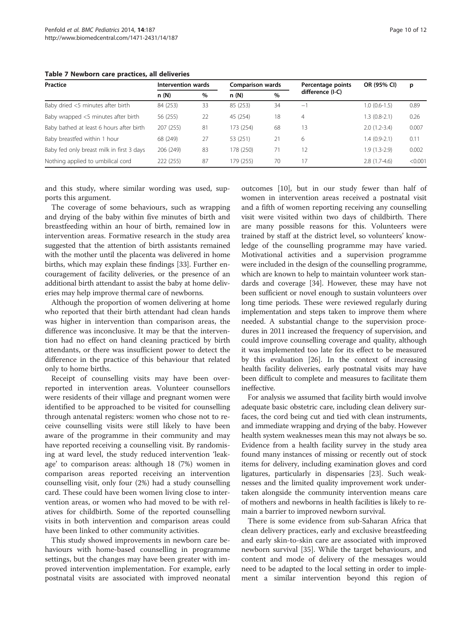<span id="page-9-0"></span>Table 7 Newborn care practices, all deliveries

| Practice                                  | Intervention wards |      | <b>Comparison wards</b> |      | Percentage points | OR (95% CI)    | p       |
|-------------------------------------------|--------------------|------|-------------------------|------|-------------------|----------------|---------|
|                                           | n(N)               | $\%$ | n(N)                    | $\%$ | difference (I-C)  |                |         |
| Baby dried <5 minutes after birth         | 84 (253)           | 33   | 85 (253)                | 34   | $-$               | $1.0(0.6-1.5)$ | 0.89    |
| Baby wrapped <5 minutes after birth       | 56 (255)           | 22   | 45 (254)                | 18   | $\overline{4}$    | $1.3(0.8-2.1)$ | 0.26    |
| Baby bathed at least 6 hours after birth  | 207 (255)          | 81   | 73 (254)                | 68   | 13                | $2.0(1.2-3.4)$ | 0.007   |
| Baby breastfed within 1 hour              | 68 (249)           | 27   | 53 (251)                | 21   | 6                 | $.4(0.9-2.1)$  | 0.11    |
| Baby fed only breast milk in first 3 days | 206 (249)          | 83   | 178 (250)               | 71   | $\mathcal{P}$     | 1.9 (1.3-2.9)  | 0.002   |
| Nothing applied to umbilical cord         | 222 (255)          | 87   | 79 (255)                | 70   | $\overline{ }$    | $2.8(1.7-4.6)$ | < 0.001 |

and this study, where similar wording was used, supports this argument.

The coverage of some behaviours, such as wrapping and drying of the baby within five minutes of birth and breastfeeding within an hour of birth, remained low in intervention areas. Formative research in the study area suggested that the attention of birth assistants remained with the mother until the placenta was delivered in home births, which may explain these findings [\[33\]](#page-11-0). Further encouragement of facility deliveries, or the presence of an additional birth attendant to assist the baby at home deliveries may help improve thermal care of newborns.

Although the proportion of women delivering at home who reported that their birth attendant had clean hands was higher in intervention than comparison areas, the difference was inconclusive. It may be that the intervention had no effect on hand cleaning practiced by birth attendants, or there was insufficient power to detect the difference in the practice of this behaviour that related only to home births.

Receipt of counselling visits may have been overreported in intervention areas. Volunteer counsellors were residents of their village and pregnant women were identified to be approached to be visited for counselling through antenatal registers: women who chose not to receive counselling visits were still likely to have been aware of the programme in their community and may have reported receiving a counselling visit. By randomising at ward level, the study reduced intervention 'leakage' to comparison areas: although 18 (7%) women in comparison areas reported receiving an intervention counselling visit, only four (2%) had a study counselling card. These could have been women living close to intervention areas, or women who had moved to be with relatives for childbirth. Some of the reported counselling visits in both intervention and comparison areas could have been linked to other community activities.

This study showed improvements in newborn care behaviours with home-based counselling in programme settings, but the changes may have been greater with improved intervention implementation. For example, early postnatal visits are associated with improved neonatal

outcomes [\[10](#page-10-0)], but in our study fewer than half of women in intervention areas received a postnatal visit and a fifth of women reporting receiving any counselling visit were visited within two days of childbirth. There are many possible reasons for this. Volunteers were trained by staff at the district level, so volunteers' knowledge of the counselling programme may have varied. Motivational activities and a supervision programme were included in the design of the counselling programme, which are known to help to maintain volunteer work standards and coverage [[34](#page-11-0)]. However, these may have not been sufficient or novel enough to sustain volunteers over long time periods. These were reviewed regularly during implementation and steps taken to improve them where needed. A substantial change to the supervision procedures in 2011 increased the frequency of supervision, and could improve counselling coverage and quality, although it was implemented too late for its effect to be measured by this evaluation [\[26\]](#page-11-0). In the context of increasing health facility deliveries, early postnatal visits may have been difficult to complete and measures to facilitate them ineffective.

For analysis we assumed that facility birth would involve adequate basic obstetric care, including clean delivery surfaces, the cord being cut and tied with clean instruments, and immediate wrapping and drying of the baby. However health system weaknesses mean this may not always be so. Evidence from a health facility survey in the study area found many instances of missing or recently out of stock items for delivery, including examination gloves and cord ligatures, particularly in dispensaries [[23](#page-11-0)]. Such weaknesses and the limited quality improvement work undertaken alongside the community intervention means care of mothers and newborns in health facilities is likely to remain a barrier to improved newborn survival.

There is some evidence from sub-Saharan Africa that clean delivery practices, early and exclusive breastfeeding and early skin-to-skin care are associated with improved newborn survival [[35\]](#page-11-0). While the target behaviours, and content and mode of delivery of the messages would need to be adapted to the local setting in order to implement a similar intervention beyond this region of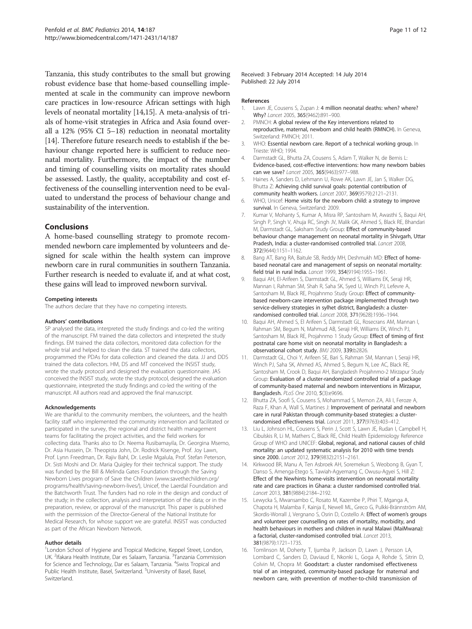<span id="page-10-0"></span>Tanzania, this study contributes to the small but growing robust evidence base that home-based counselling implemented at scale in the community can improve newborn care practices in low-resource African settings with high levels of neonatal mortality [14,15]. A meta-analysis of trials of home-visit strategies in Africa and Asia found overall a 12% (95% CI 5–18) reduction in neonatal mortality [14]. Therefore future research needs to establish if the behaviour change reported here is sufficient to reduce neonatal mortality. Furthermore, the impact of the number and timing of counselling visits on mortality rates should be assessed. Lastly, the quality, acceptability and cost effectiveness of the counselling intervention need to be evaluated to understand the process of behaviour change and sustainability of the intervention.

# Conclusions

A home-based counselling strategy to promote recommended newborn care implemented by volunteers and designed for scale within the health system can improve newborn care in rural communities in southern Tanzania. Further research is needed to evaluate if, and at what cost, these gains will lead to improved newborn survival.

#### Competing interests

The authors declare that they have no competing interests.

#### Authors' contributions

SP analysed the data, interpreted the study findings and co-led the writing of the manuscript. FM trained the data collectors and interpreted the study findings. EM trained the data collectors, monitored data collection for the whole trial and helped to clean the data. ST trained the data collectors, programmed the PDAs for data collection and cleaned the data. JJ and DDS trained the data collectors. HM, DS and MT conceived the INSIST study, wrote the study protocol and designed the evaluation questionnaire. JAS conceived the INSIST study, wrote the study protocol, designed the evaluation questionnaire, interpreted the study findings and co-led the writing of the manuscript. All authors read and approved the final manuscript.

#### Acknowledgements

We are thankful to the community members, the volunteers, and the health facility staff who implemented the community intervention and facilitated or participated in the survey, the regional and district health management teams for facilitating the project activities, and the field workers for collecting data. Thanks also to Dr. Neema Rusibamayila, Dr. Georgina Msemo, Dr. Asia Hussein, Dr. Theopista John, Dr. Rodrick Kisenge, Prof. Joy Lawn, Prof. Lynn Freedman, Dr. Rajiv Bahl, Dr. Leslie Mgalula, Prof. Stefan Peterson, Dr. Sisti Moshi and Dr. Maria Quigley for their technical support. The study was funded by the Bill & Melinda Gates Foundation through the Saving Newborn Lives program of Save the Children ([www.savethechildren.org/](http://www.savethechildren.org/programs/health/saving-newborn-lives/) [programs/health/saving-newborn-lives/](http://www.savethechildren.org/programs/health/saving-newborn-lives/)), Unicef, the Laerdal Foundation and the Batchworth Trust. The funders had no role in the design and conduct of the study; in the collection, analysis and interpretation of the data; or in the preparation, review, or approval of the manuscript. This paper is published with the permission of the Director-General of the National Institute for Medical Research, for whose support we are grateful. INSIST was conducted as part of the African Newborn Network.

#### Author details

<sup>1</sup> London School of Hygiene and Tropical Medicine, Keppel Street, London, UK. <sup>2</sup>lfakara Health Institute, Dar es Salaam, Tanzania. <sup>3</sup>Tanzania Commission for Science and Technology, Dar es Salaam, Tanzania. <sup>4</sup>Swiss Tropical and Public Health Institute, Basel, Switzerland. <sup>5</sup>University of Basel, Basel, Switzerland.

Received: 3 February 2014 Accepted: 14 July 2014 Published: 22 July 2014

#### References

- Lawn JE, Cousens S, Zupan J: 4 million neonatal deaths: when? where? Why? Lancet 2005, 365(9462):891–900.
- 2. PMNCH: A global review of the Key interventions related to reproductive, maternal, newborn and child health (RMNCH). In Geneva, Switzerland: PMNCH; 2011.
- 3. WHO: Essential newborn care. Report of a technical working group. In Trieste: WHO; 1994.
- 4. Darmstadt GL, Bhutta ZA, Cousens S, Adam T, Walker N, de Bernis L: Evidence-based, cost-effective interventions: how many newborn babies can we save? Lancet 2005, 365(9463):977–988.
- Haines A, Sanders D, Lehmann U, Rowe AK, Lawn JE, Jan S, Walker DG, Bhutta Z: Achieving child survival goals: potential contribution of community health workers. Lancet 2007, 369(9579):2121–2131.
- 6. WHO, Unicef: Home visits for the newborn child: a strategy to improve survival. In Geneva, Switzerland: 2009.
- 7. Kumar V, Mohanty S, Kumar A, Misra RP, Santosham M, Awasthi S, Baqui AH, Singh P, Singh V, Ahuja RC, Singh JV, Malik GK, Ahmed S, Black RE, Bhandari M, Darmstadt GL, Saksham Study Group: Effect of community-based behaviour change management on neonatal mortality in Shivgarh, Uttar Pradesh, India: a cluster-randomised controlled trial. Lancet 2008, 372(9644):1151–1162.
- 8. Bang AT, Bang RA, Baitule SB, Reddy MH, Deshmukh MD: Effect of homebased neonatal care and management of sepsis on neonatal mortality: field trial in rural India. Lancet 1999, 354(9194):1955–1961.
- 9. Baqui AH, El-Arifeen S, Darmstadt GL, Ahmed S, Williams EK, Seraji HR, Mannan I, Rahman SM, Shah R, Saha SK, Syed U, Winch PJ, Lefevre A, Santosham M, Black RE, Projahnmo Study Group: Effect of communitybased newborn-care intervention package implemented through two service-delivery strategies in sylhet district, Bangladesh: a clusterrandomised controlled trial. Lancet 2008, 371(9628):1936–1944.
- 10. Baqui AH, Ahmed S, El Arifeen S, Darmstadt GL, Rosecrans AM, Mannan I, Rahman SM, Begum N, Mahmud AB, Seraji HR, Williams EK, Winch PJ, Santosham M, Black RE, Projahnmo 1 Study Group: Effect of timing of first postnatal care home visit on neonatal mortality in Bangladesh: a observational cohort study. BMJ 2009, 339:b2826.
- 11. Darmstadt GL, Choi Y, Arifeen SE, Bari S, Rahman SM, Mannan I, Seraji HR, Winch PJ, Saha SK, Ahmed AS, Ahmed S, Begum N, Lee AC, Black RE, Santosham M, Crook D, Baqui AH, Bangladesh Projahnmo-2 Mirzapur Study Group: Evaluation of a cluster-randomized controlled trial of a package of community-based maternal and newborn interventions in Mirzapur, Bangladesh. PLoS One 2010, 5(3):e9696.
- 12. Bhutta ZA, Soofi S, Cousens S, Mohammad S, Memon ZA, Ali I, Feroze A, Raza F, Khan A, Wall S, Martines J: Improvement of perinatal and newborn care in rural Pakistan through community-based strategies: a clusterrandomised effectiveness trial. Lancet 2011, 377(9763):403–412.
- 13. Liu L, Johnson HL, Cousens S, Perin J, Scott S, Lawn JE, Rudan I, Campbell H, Cibulskis R, Li M, Mathers C, Black RE, Child Health Epidemiology Reference Group of WHO and UNICEF: Global, regional, and national causes of child mortality: an updated systematic analysis for 2010 with time trends since 2000. Lancet 2012, 379(9832):2151-2161.
- 14. Kirkwood BR, Manu A, Ten Asbroek AH, Soremekun S, Weobong B, Gyan T, Danso S, Amenga-Etego S, Tawiah-Agyemang C, Owusu-Agyei S, Hill Z: Effect of the Newhints home-visits intervention on neonatal mortality rate and care practices in Ghana: a cluster randomised controlled trial. Lancet 2013, 381(9884):2184–2192.
- 15. Lewycka S, Mwansambo C, Rosato M, Kazembe P, Phiri T, Mganga A, Chapota H, Malamba F, Kainja E, Newell ML, Greco G, Pulkki-Brännström AM, Skordis-Worrall J, Vergnano S, Osrin D, Costello A: Effect of women's groups and volunteer peer counselling on rates of mortality, morbidity, and health behaviours in mothers and children in rural Malawi (MaiMwana): a factorial, cluster-randomised controlled trial. Lancet 2013, 381(9879):1721–1735.
- 16. Tomlinson M, Doherty T, Ijumba P, Jackson D, Lawn J, Persson LA, Lombard C, Sanders D, Daviaud E, Nkonki L, Goga A, Rohde S, Sitrin D, Colvin M, Chopra M: Goodstart: a cluster randomised effectiveness trial of an integrated, community-based package for maternal and newborn care, with prevention of mother-to-child transmission of